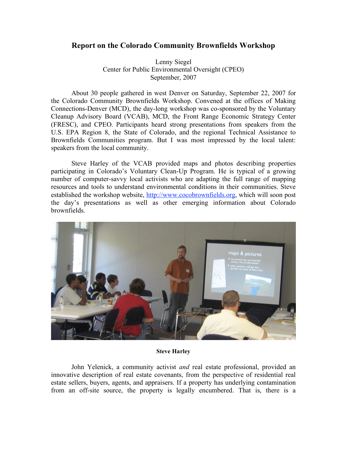## **Report on the Colorado Community Brownfields Workshop**

Lenny Siegel Center for Public Environmental Oversight (CPEO) September, 2007

About 30 people gathered in west Denver on Saturday, September 22, 2007 for the Colorado Community Brownfields Workshop. Convened at the offices of Making Connections-Denver (MCD), the day-long workshop was co-sponsored by the Voluntary Cleanup Advisory Board (VCAB), MCD, the Front Range Economic Strategy Center (FRESC), and CPEO. Participants heard strong presentations from speakers from the U.S. EPA Region 8, the State of Colorado, and the regional Technical Assistance to Brownfields Communities program. But I was most impressed by the local talent: speakers from the local community.

Steve Harley of the VCAB provided maps and photos describing properties participating in Colorado's Voluntary Clean-Up Program. He is typical of a growing number of computer-savvy local activists who are adapting the full range of mapping resources and tools to understand environmental conditions in their communities. Steve established the workshop website, http://www.cocobrownfields.org, which will soon post the day's presentations as well as other emerging information about Colorado brownfields.



## **Steve Harley**

John Yelenick, a community activist *and* real estate professional, provided an innovative description of real estate covenants, from the perspective of residential real estate sellers, buyers, agents, and appraisers. If a property has underlying contamination from an off-site source, the property is legally encumbered. That is, there is a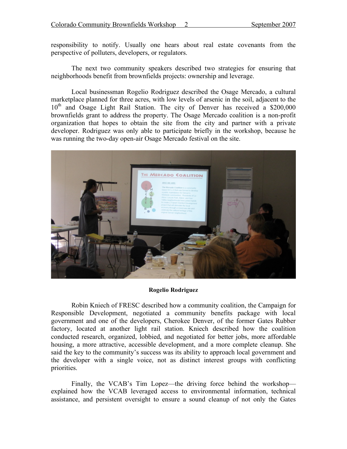responsibility to notify. Usually one hears about real estate covenants from the perspective of polluters, developers, or regulators.

The next two community speakers described two strategies for ensuring that neighborhoods benefit from brownfields projects: ownership and leverage.

Local businessman Rogelio Rodriguez described the Osage Mercado, a cultural marketplace planned for three acres, with low levels of arsenic in the soil, adjacent to the  $10<sup>th</sup>$  and Osage Light Rail Station. The city of Denver has received a \$200,000 brownfields grant to address the property. The Osage Mercado coalition is a non-profit organization that hopes to obtain the site from the city and partner with a private developer. Rodriguez was only able to participate briefly in the workshop, because he was running the two-day open-air Osage Mercado festival on the site.



## **Rogelio Rodriguez**

Robin Kniech of FRESC described how a community coalition, the Campaign for Responsible Development, negotiated a community benefits package with local government and one of the developers, Cherokee Denver, of the former Gates Rubber factory, located at another light rail station. Kniech described how the coalition conducted research, organized, lobbied, and negotiated for better jobs, more affordable housing, a more attractive, accessible development, and a more complete cleanup. She said the key to the community's success was its ability to approach local government and the developer with a single voice, not as distinct interest groups with conflicting priorities.

Finally, the VCAB's Tim Lopez—the driving force behind the workshop explained how the VCAB leveraged access to environmental information, technical assistance, and persistent oversight to ensure a sound cleanup of not only the Gates